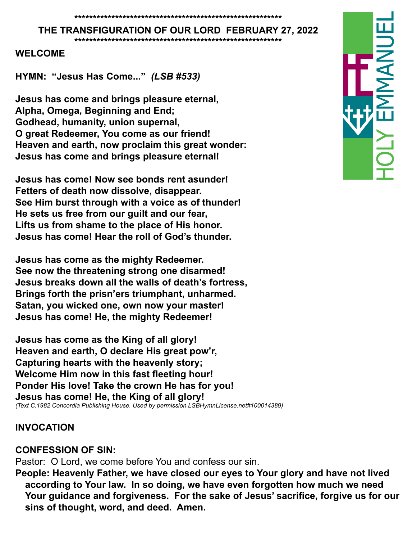#### **THE TRANSFIGURATION OF OUR LORD FEBRUARY 27, 2022**

**\*\*\*\*\*\*\*\*\*\*\*\*\*\*\*\*\*\*\*\*\*\*\*\*\*\*\*\*\*\*\*\*\*\*\*\*\*\*\*\*\*\*\*\*\*\*\*\*\*\*\*\*\*\*\*\***

#### **WELCOME**

**HYMN: "Jesus Has Come..."** *(LSB #533)*

**Jesus has come and brings pleasure eternal, Alpha, Omega, Beginning and End; Godhead, humanity, union supernal, O great Redeemer, You come as our friend! Heaven and earth, now proclaim this great wonder: Jesus has come and brings pleasure eternal!**

**Jesus has come! Now see bonds rent asunder! Fetters of death now dissolve, disappear. See Him burst through with a voice as of thunder! He sets us free from our guilt and our fear, Lifts us from shame to the place of His honor. Jesus has come! Hear the roll of God's thunder.**

**Jesus has come as the mighty Redeemer. See now the threatening strong one disarmed! Jesus breaks down all the walls of death's fortress, Brings forth the prisn'ers triumphant, unharmed. Satan, you wicked one, own now your master! Jesus has come! He, the mighty Redeemer!**

**Jesus has come as the King of all glory! Heaven and earth, O declare His great pow'r, Capturing hearts with the heavenly story; Welcome Him now in this fast fleeting hour! Ponder His love! Take the crown He has for you! Jesus has come! He, the King of all glory!** *(Text C.1982 Concordia Publishing House. Used by permission LSBHymnLicense.net#100014389)*

#### **INVOCATION**

#### **CONFESSION OF SIN:**

Pastor: O Lord, we come before You and confess our sin.

**People: Heavenly Father, we have closed our eyes to Your glory and have not lived according to Your law. In so doing, we have even forgotten how much we need Your guidance and forgiveness. For the sake of Jesus' sacrifice, forgive us for our sins of thought, word, and deed. Amen.**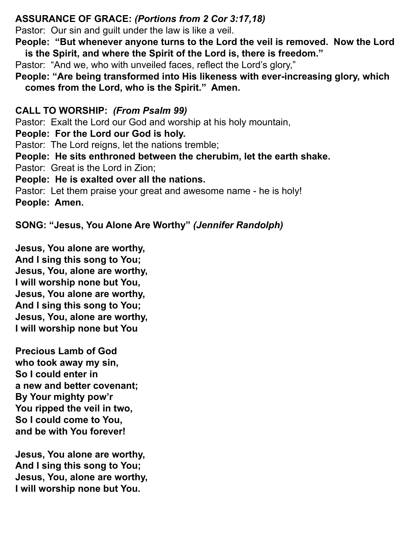## **ASSURANCE OF GRACE:** *(Portions from 2 Cor 3:17,18)*

Pastor: Our sin and guilt under the law is like a veil.

**People: "But whenever anyone turns to the Lord the veil is removed. Now the Lord is the Spirit, and where the Spirit of the Lord is, there is freedom."**

Pastor: "And we, who with unveiled faces, reflect the Lord's glory,"

**People: "Are being transformed into His likeness with ever-increasing glory, which comes from the Lord, who is the Spirit." Amen.** 

**CALL TO WORSHIP:** *(From Psalm 99)*

Pastor: Exalt the Lord our God and worship at his holy mountain,

**People: For the Lord our God is holy.**

Pastor: The Lord reigns, let the nations tremble;

**People: He sits enthroned between the cherubim, let the earth shake.**

Pastor: Great is the Lord in Zion;

**People: He is exalted over all the nations.**

Pastor: Let them praise your great and awesome name - he is holy! **People: Amen.** 

**SONG: "Jesus, You Alone Are Worthy"** *(Jennifer Randolph)*

**Jesus, You alone are worthy, And I sing this song to You; Jesus, You, alone are worthy, I will worship none but You, Jesus, You alone are worthy, And I sing this song to You; Jesus, You, alone are worthy, I will worship none but You**

**Precious Lamb of God who took away my sin, So I could enter in a new and better covenant; By Your mighty pow'r You ripped the veil in two, So I could come to You, and be with You forever!** 

**Jesus, You alone are worthy, And I sing this song to You; Jesus, You, alone are worthy, I will worship none but You.**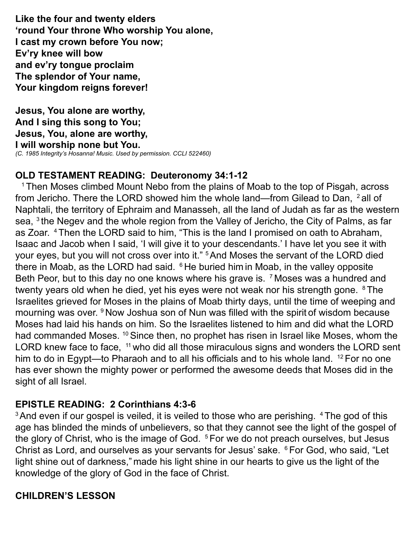**Like the four and twenty elders 'round Your throne Who worship You alone, I cast my crown before You now; Ev'ry knee will bow and ev'ry tongue proclaim The splendor of Your name, Your kingdom reigns forever!** 

**Jesus, You alone are worthy, And I sing this song to You; Jesus, You, alone are worthy, I will worship none but You.** *(C. 1985 Integrity's Hosanna! Music. Used by permission. CCLI 522460)*

## **OLD TESTAMENT READING: Deuteronomy 34:1-12**

<sup>1</sup> Then Moses climbed Mount Nebo from the plains of Moab to the top of Pisgah, across from Jericho. There the LORD showed him the whole land—from Gilead to Dan, <sup>2</sup> all of Naphtali, the territory of Ephraim and Manasseh, all the land of Judah as far as the western sea, <sup>3</sup> the Negev and the whole region from the Valley of Jericho, the City of Palms, as far as Zoar. 4 Then the LORD said to him, "This is the land I promised on oath to Abraham, Isaac and Jacob when I said, 'I will give it to your descendants.' I have let you see it with your eyes, but you will not cross over into it." 5 And Moses the servant of the LORD died there in Moab, as the LORD had said. <sup>6</sup> He buried him in Moab, in the valley opposite Beth Peor, but to this day no one knows where his grave is. <sup>7</sup> Moses was a hundred and twenty years old when he died, yet his eyes were not weak nor his strength gone. <sup>8</sup> The Israelites grieved for Moses in the plains of Moab thirty days, until the time of weeping and mourning was over. <sup>9</sup> Now Joshua son of Nun was filled with the spirit of wisdom because Moses had laid his hands on him. So the Israelites listened to him and did what the LORD had commanded Moses. <sup>10</sup> Since then, no prophet has risen in Israel like Moses, whom the LORD knew face to face, <sup>11</sup> who did all those miraculous signs and wonders the LORD sent him to do in Egypt—to Pharaoh and to all his officials and to his whole land. <sup>12</sup> For no one has ever shown the mighty power or performed the awesome deeds that Moses did in the sight of all Israel.

## **EPISTLE READING: 2 Corinthians 4:3-6**

<sup>3</sup> And even if our gospel is veiled, it is veiled to those who are perishing. <sup>4</sup> The god of this age has blinded the minds of unbelievers, so that they cannot see the light of the gospel of the glory of Christ, who is the image of God.  $5$  For we do not preach ourselves, but Jesus Christ as Lord, and ourselves as your servants for Jesus' sake. <sup>6</sup> For God, who said, "Let light shine out of darkness," made his light shine in our hearts to give us the light of the knowledge of the glory of God in the face of Christ.

## **CHILDREN'S LESSON**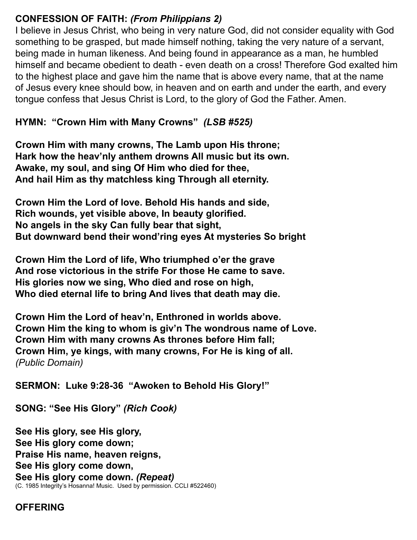## **CONFESSION OF FAITH:** *(From Philippians 2)*

I believe in Jesus Christ, who being in very nature God, did not consider equality with God something to be grasped, but made himself nothing, taking the very nature of a servant, being made in human likeness. And being found in appearance as a man, he humbled himself and became obedient to death - even death on a cross! Therefore God exalted him to the highest place and gave him the name that is above every name, that at the name of Jesus every knee should bow, in heaven and on earth and under the earth, and every tongue confess that Jesus Christ is Lord, to the glory of God the Father. Amen.

**HYMN: "Crown Him with Many Crowns"** *(LSB #525)*

**Crown Him with many crowns, The Lamb upon His throne; Hark how the heav'nly anthem drowns All music but its own. Awake, my soul, and sing Of Him who died for thee, And hail Him as thy matchless king Through all eternity.**

**Crown Him the Lord of love. Behold His hands and side, Rich wounds, yet visible above, In beauty glorified. No angels in the sky Can fully bear that sight, But downward bend their wond'ring eyes At mysteries So bright**

**Crown Him the Lord of life, Who triumphed o'er the grave And rose victorious in the strife For those He came to save. His glories now we sing, Who died and rose on high, Who died eternal life to bring And lives that death may die.**

**Crown Him the Lord of heav'n, Enthroned in worlds above. Crown Him the king to whom is giv'n The wondrous name of Love. Crown Him with many crowns As thrones before Him fall; Crown Him, ye kings, with many crowns, For He is king of all.**  *(Public Domain)*

**SERMON: Luke 9:28-36 "Awoken to Behold His Glory!"**

**SONG: "See His Glory"** *(Rich Cook)*

**See His glory, see His glory, See His glory come down; Praise His name, heaven reigns, See His glory come down, See His glory come down.** *(Repeat)* (C. 1985 Integrity's Hosanna! Music. Used by permission. CCLI #522460)

#### **OFFERING**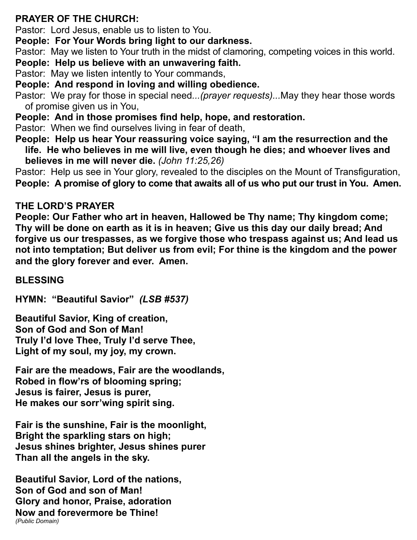# **PRAYER OF THE CHURCH:**

Pastor: Lord Jesus, enable us to listen to You.

**People: For Your Words bring light to our darkness.**

Pastor: May we listen to Your truth in the midst of clamoring, competing voices in this world.

# **People: Help us believe with an unwavering faith.**

Pastor: May we listen intently to Your commands,

**People: And respond in loving and willing obedience.**

Pastor: We pray for those in special need*...(prayer requests)...*May they hear those words of promise given us in You,

**People: And in those promises find help, hope, and restoration.**

Pastor: When we find ourselves living in fear of death,

**People: Help us hear Your reassuring voice saying, "I am the resurrection and the life. He who believes in me will live, even though he dies; and whoever lives and believes in me will never die.** *(John 11:25,26)*

Pastor: Help us see in Your glory, revealed to the disciples on the Mount of Transfiguration, **People: A promise of glory to come that awaits all of us who put our trust in You. Amen.**

# **THE LORD'S PRAYER**

**People: Our Father who art in heaven, Hallowed be Thy name; Thy kingdom come; Thy will be done on earth as it is in heaven; Give us this day our daily bread; And forgive us our trespasses, as we forgive those who trespass against us; And lead us not into temptation; But deliver us from evil; For thine is the kingdom and the power and the glory forever and ever. Amen.** 

# **BLESSING**

**HYMN: "Beautiful Savior"** *(LSB #537)*

**Beautiful Savior, King of creation, Son of God and Son of Man! Truly I'd love Thee, Truly I'd serve Thee, Light of my soul, my joy, my crown.**

**Fair are the meadows, Fair are the woodlands, Robed in flow'rs of blooming spring; Jesus is fairer, Jesus is purer, He makes our sorr'wing spirit sing.**

**Fair is the sunshine, Fair is the moonlight, Bright the sparkling stars on high; Jesus shines brighter, Jesus shines purer Than all the angels in the sky.**

**Beautiful Savior, Lord of the nations, Son of God and son of Man! Glory and honor, Praise, adoration Now and forevermore be Thine!** *(Public Domain)*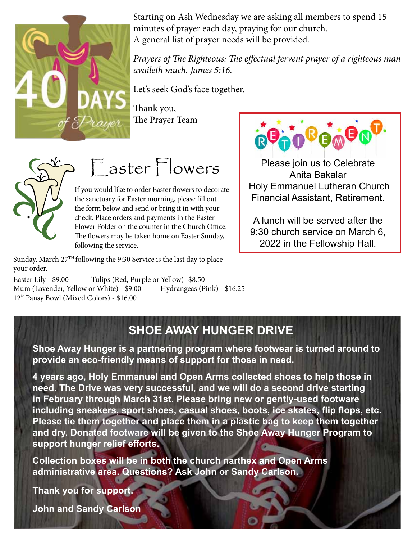

Starting on Ash Wednesday we are asking all members to spend 15 minutes of prayer each day, praying for our church. A general list of prayer needs will be provided.  $\mathbf{r}$  ,  $\mathbf{r}$  , and  $\mathbf{r}$ 

*Prayers of The Righteous: The effectual fervent prayer of a righteous man* 

Let's seek God's face together.

Thank you, The Prayer Team



 $\overline{\phantom{a}}$ 

Easter Flowers

If you would like to order Easter flowers to decorate the sanctuary for Easter morning, please fill out the form below and send or bring it in with your check. Place orders and payments in the Easter Flower Folder on the counter in the Church Office. The flowers may be taken home on Easter Sunday, following the service.

Sunday, March  $27<sup>TH</sup>$  following the 9:30 Service is the last day to place your order.

 $\mathcal{L}_\text{max}$  and  $\mathcal{L}_\text{max}$  are defined by  $\mathcal{L}_\text{max}$  and  $\mathcal{L}_\text{max}$ 

Mum (Lavender, Yellow or White) - \$9.00 Hydrangeas (Pink) - \$16.25 Easter Lily - \$9.00 Tulips (Red, Purple or Yellow)- \$8.50 12" Pansy Bowl (Mixed Colors) - \$16.00



elebrate<br>r Holy Emmanuel Lutheran Church Financial Assistant, Retirement. International o Please join us to Celebrate Anita Bakalar

the form below and send or bring it in with your

A lunch will be served after the  $\begin{array}{|c|c|} \hline \end{array}$  $\frac{1}{2}$   $\frac{1}{2}$   $\frac{1}{2}$   $\frac{1}{2}$   $\frac{1}{2}$   $\frac{1}{2}$   $\frac{1}{2}$   $\frac{1}{2}$   $\frac{1}{2}$   $\frac{1}{2}$   $\frac{1}{2}$   $\frac{1}{2}$   $\frac{1}{2}$   $\frac{1}{2}$   $\frac{1}{2}$   $\frac{1}{2}$   $\frac{1}{2}$   $\frac{1}{2}$   $\frac{1}{2}$   $\frac{1}{2}$   $\frac{1}{2}$   $\frac{1}{2}$  9:30 church service on March 6, 2022 in the Fellowship Hall.

 $\blacksquare$  . We have the set of  $\blacksquare$ 

Please make checks payable to Holy Emmanuel. If you have any questions, check with Cindy Marko. Thank you have any of the Cindy Marko. Thank you have a

#### \_\_\_\_Tulips (Purple) \$8.50 **SHOE AWAY HUNGER DRIVE** \_\_\_\_Tulips (Purple) \$8.50 \_\_\_\_Tulips (Yellow) \$8.50

Shoe Away Hunger is a partnering program where footwear is turned around to **the contact o** \_\_\_\_Mum (Yellow) \$9.00 **provide an eco-friendly means of support for those in need.** \_\_\_\_Mum (Yellow) \$9.00

4 years ago, Holy Emmanuel and Open Arms collected shoes to help those in **wears** need. The Drive was very successful, and we will do a second drive starting **proxille** including sneakers, sport shoes, casual shoes, boots, ice skates, flip flops, etc.  $\qquad \qquad$ **Support hunger relief efforts.** Name and the set of the set of the set of the set of the set of the set of the set of the set of the set of the **in February through March 31st. Please bring new or gently-used footware Please tie them together and place them in a plastic bag to keep them together and dry. Donated footware will be given to the Shoe Away Hunger Program to** 

**Collection boxes will be in both the church narthex and Open Arms**  $\blacksquare$ **administrative area. Questions? Ask John or Sandy Carlson.**

**In Memory of Thank you for support.** Thank you for support.

**Please make a value of the Sandy Carlson** If you have any good with Cindy Marko. The check with Cindy Marko. Thank you have any good with Cindy Marko. Thank you have a street of the check with Cindy Marko. The check with Cindy Marko. The check with Cindy Marko. Th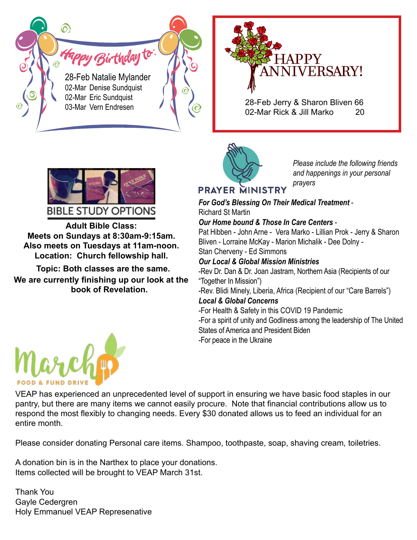*Happy Birthday* to 28-Feb Natalie Mylander 02-Mar Denise Sundquist 02-Mar Eric Sundquist

6



03-Mar Vern Endresen **28-Feb Jerry & Sharon Bliven 66**<br>03-Mar Vern Endresen **20** 02-Mar Rick & Jill Marko



*Please include the following friends and happenings in your personal prayers*

# **PRAYER MINISTRY**

*For God's Blessing On Their Medical Treatment* - Richard St Martin

#### *Our Home bound & Those In Care Centers* -

Fam Pat Hibben - John Arne - Vera Marko - Lillian Prok - Jerry & Sharon **Marii-9:15am.**<br>And **11am-noon** Bliven - Lorraine McKay - Marion Michalik - Dee Dolny -

**S at Tram-noon.**<br>Howship hall **Stan Cherveny - Ed Simmons** 

#### **Local & Global Mission Ministries**

**Topic: Both classes are the same.** The **Rev Dr. Dan & Dr. Joan Jastram, Northern Asia (Recipients of our** "Together In Mission")

> -Rev. Blidi Minely, Liberia, Africa (Recipient of our "Care Barrels") *Local & Global Concerns*

#### -For Health & Safety in this COVID 19 Pandemic

-For a spirit of unity and Godliness among the leadership of The United States of America and President Biden -For peace in the Ukraine



**Adult Bible Class: Meets on Sundays at 8:30am-9:15am. Also meets on Tuesdays at 11am-noon. Location: Church fellowship hall. Alex meets ON OUTBROX 81 0.0000011-4** w meets on Tuesuays at Train-noon.<br>Leecties - Ohusek fellowskie hell **LUCATION.** UNITCH TURNSHIP HAIL **Meets on Sundays at 8:30am-9:15am. LUCATION.** CHUICH

**Topic: Both classes are the same.** They be a location of the **Finder of the same.** They Dr. Dan & Dr. Jo **We are currently finishing up our look at the** "Together In Mission") **book of Revelation.**



**Holiday Service Schedule: Holiday Service Schedule:** VEAP has experienced an unprecedented level of support in ensuring we have basic food staples in our pantry, but there are many items we cannot easily procure. Note that financial contributions allow us to **Decimies month.** respond the most flexibly to changing needs. Every \$30 donated allows us to feed an individual for an

> Please consider donating Personal care items. Shampoo, toothpaste, soap, shaving cream, toiletries. **Dec 15th, 6:30pm. Advent Service.**

**Advent Service Theme: "What Do Angels Do?" Each we conclude with be prought to velocit wilder of St. Dec 15th, 6:30pm. Advent Service.**  s in the Nattriex to place your donations.<br>will be brought to VEAP March 31st **Each week we'll be looking at the role angels play in God's plans**  A donation bin is in the Narthex to place your donations.<br>**Items as leated will be has white VEAD Marsh 24st** Items collected will be brought to VEAP March 31st.

**a** Thank You **Decay Commander VEAT Representative. December 24th, 4pm. Christmas Eve Candlelight Service. Example 2018 Example at the role angels plans in God's plans**  $\mathcal{L}$  **plans**  $\mathcal{L}$  **plans**  $\mathcal{L}$  **plans**  $\mathcal{L}$  **plans**  $\mathcal{L}$  **plans**  $\mathcal{L}$  **plans**  $\mathcal{L}$  **plans**  $\mathcal{L}$  **plans**  $\mathcal{L}$  **plans**  $\mathcal{L}$  **plans**  $\mathcal{L}$ **and in our life as believers in Christ. and in our life as believers in Christ. Example 2018 Example 2018 Example 2019 Example 2019** Gayle Cedergren Holy Emmanuel VEAP Represenative